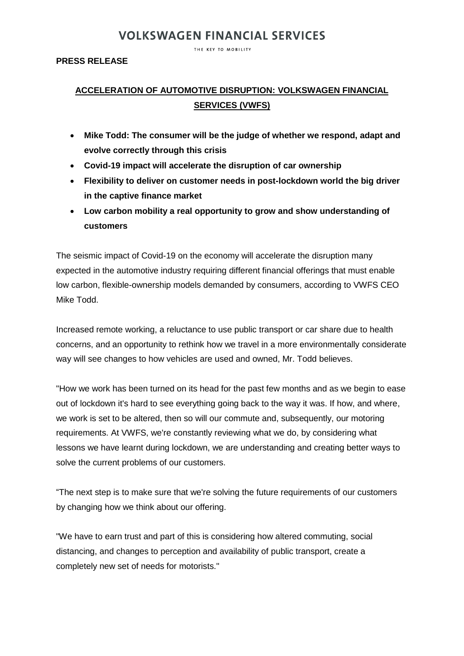THE KEY TO MOBILITY

### **PRESS RELEASE**

### **ACCELERATION OF AUTOMOTIVE DISRUPTION: VOLKSWAGEN FINANCIAL SERVICES (VWFS)**

- **Mike Todd: The consumer will be the judge of whether we respond, adapt and evolve correctly through this crisis**
- **Covid-19 impact will accelerate the disruption of car ownership**
- **Flexibility to deliver on customer needs in post-lockdown world the big driver in the captive finance market**
- **Low carbon mobility a real opportunity to grow and show understanding of customers**

The seismic impact of Covid-19 on the economy will accelerate the disruption many expected in the automotive industry requiring different financial offerings that must enable low carbon, flexible-ownership models demanded by consumers, according to VWFS CEO Mike Todd.

Increased remote working, a reluctance to use public transport or car share due to health concerns, and an opportunity to rethink how we travel in a more environmentally considerate way will see changes to how vehicles are used and owned, Mr. Todd believes.

"How we work has been turned on its head for the past few months and as we begin to ease out of lockdown it's hard to see everything going back to the way it was. If how, and where, we work is set to be altered, then so will our commute and, subsequently, our motoring requirements. At VWFS, we're constantly reviewing what we do, by considering what lessons we have learnt during lockdown, we are understanding and creating better ways to solve the current problems of our customers.

"The next step is to make sure that we're solving the future requirements of our customers by changing how we think about our offering.

"We have to earn trust and part of this is considering how altered commuting, social distancing, and changes to perception and availability of public transport, create a completely new set of needs for motorists."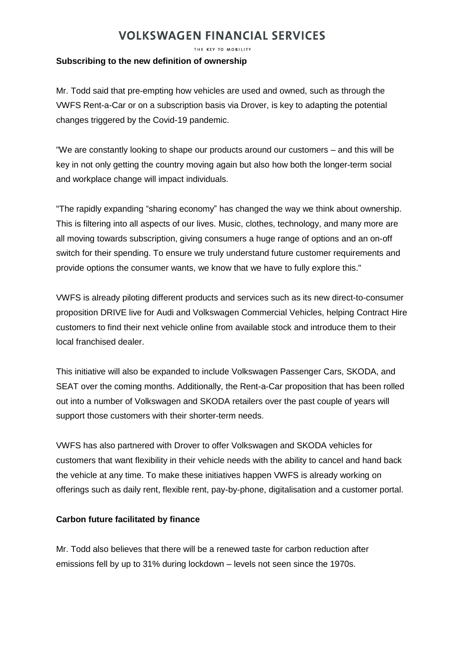THE KEY TO MOBILITY

### **Subscribing to the new definition of ownership**

Mr. Todd said that pre-empting how vehicles are used and owned, such as through the VWFS Rent-a-Car or on a subscription basis via Drover, is key to adapting the potential changes triggered by the Covid-19 pandemic.

"We are constantly looking to shape our products around our customers – and this will be key in not only getting the country moving again but also how both the longer-term social and workplace change will impact individuals.

"The rapidly expanding "sharing economy" has changed the way we think about ownership. This is filtering into all aspects of our lives. Music, clothes, technology, and many more are all moving towards subscription, giving consumers a huge range of options and an on-off switch for their spending. To ensure we truly understand future customer requirements and provide options the consumer wants, we know that we have to fully explore this."

VWFS is already piloting different products and services such as its new direct-to-consumer proposition DRIVE live for Audi and Volkswagen Commercial Vehicles, helping Contract Hire customers to find their next vehicle online from available stock and introduce them to their local franchised dealer.

This initiative will also be expanded to include Volkswagen Passenger Cars, SKODA, and SEAT over the coming months. Additionally, the Rent-a-Car proposition that has been rolled out into a number of Volkswagen and SKODA retailers over the past couple of years will support those customers with their shorter-term needs.

VWFS has also partnered with Drover to offer Volkswagen and SKODA vehicles for customers that want flexibility in their vehicle needs with the ability to cancel and hand back the vehicle at any time. To make these initiatives happen VWFS is already working on offerings such as daily rent, flexible rent, pay-by-phone, digitalisation and a customer portal.

### **Carbon future facilitated by finance**

Mr. Todd also believes that there will be a renewed taste for carbon reduction after emissions fell by up to 31% during lockdown – levels not seen since the 1970s.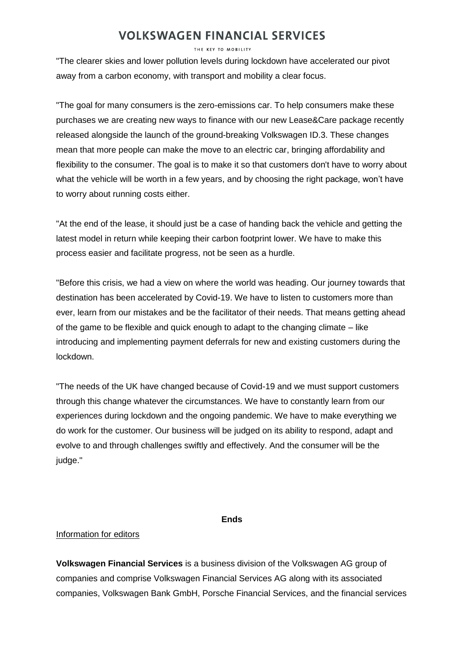THE KEY TO MOBILITY

"The clearer skies and lower pollution levels during lockdown have accelerated our pivot away from a carbon economy, with transport and mobility a clear focus.

"The goal for many consumers is the zero-emissions car. To help consumers make these purchases we are creating new ways to finance with our new Lease&Care package recently released alongside the launch of the ground-breaking Volkswagen ID.3. These changes mean that more people can make the move to an electric car, bringing affordability and flexibility to the consumer. The goal is to make it so that customers don't have to worry about what the vehicle will be worth in a few years, and by choosing the right package, won't have to worry about running costs either.

"At the end of the lease, it should just be a case of handing back the vehicle and getting the latest model in return while keeping their carbon footprint lower. We have to make this process easier and facilitate progress, not be seen as a hurdle.

"Before this crisis, we had a view on where the world was heading. Our journey towards that destination has been accelerated by Covid-19. We have to listen to customers more than ever, learn from our mistakes and be the facilitator of their needs. That means getting ahead of the game to be flexible and quick enough to adapt to the changing climate – like introducing and implementing payment deferrals for new and existing customers during the lockdown.

"The needs of the UK have changed because of Covid-19 and we must support customers through this change whatever the circumstances. We have to constantly learn from our experiences during lockdown and the ongoing pandemic. We have to make everything we do work for the customer. Our business will be judged on its ability to respond, adapt and evolve to and through challenges swiftly and effectively. And the consumer will be the judge."

#### **Ends**

### Information for editors

**Volkswagen Financial Services** is a business division of the Volkswagen AG group of companies and comprise Volkswagen Financial Services AG along with its associated companies, Volkswagen Bank GmbH, Porsche Financial Services, and the financial services